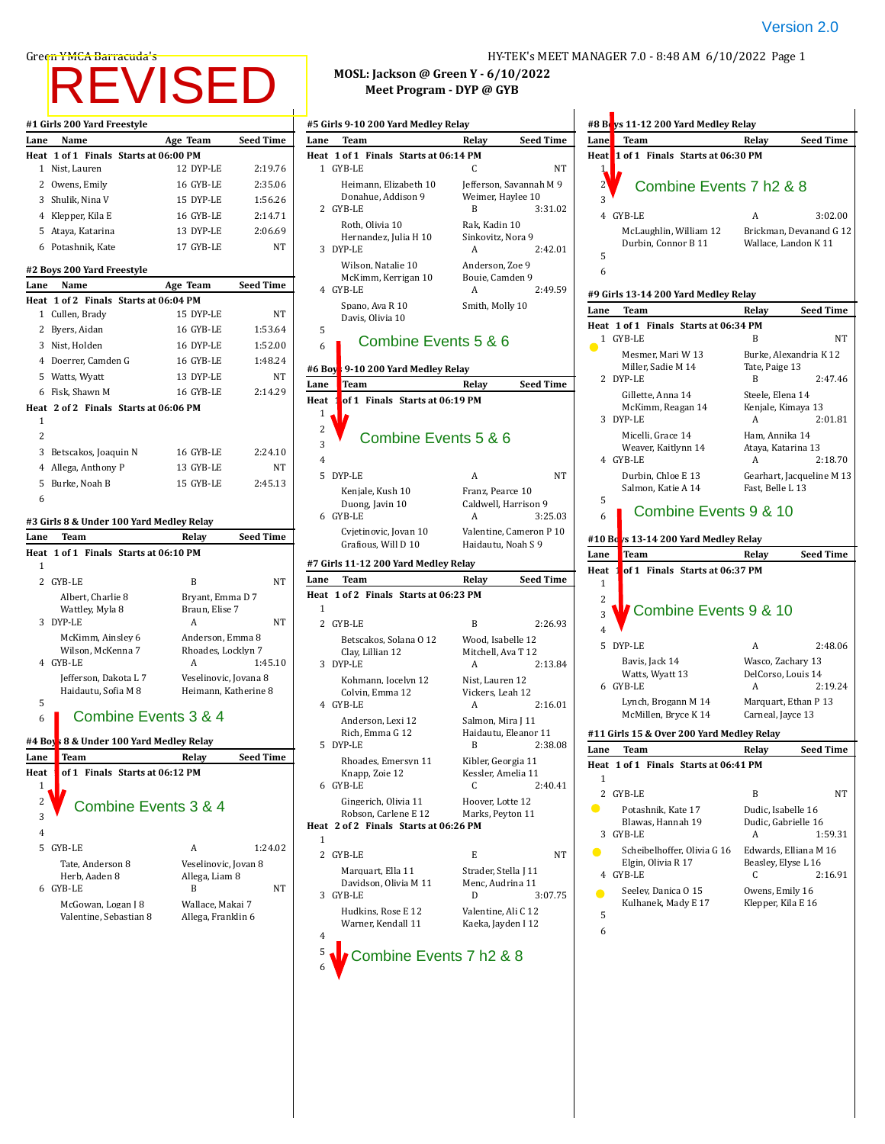## Version 2.0

# REVISED

|        | #1 Girls 200 Yard Freestyle                              |                       |                  |
|--------|----------------------------------------------------------|-----------------------|------------------|
| Lane   | Name                                                     | Age Team              | <b>Seed Time</b> |
|        | Heat 1 of 1 Finals Starts at 06:00 PM                    |                       |                  |
|        | 1 Nist, Lauren                                           | 12 DYP-LE             | 2:19.76          |
|        | 2 Owens, Emily                                           | 16 GYB-LE             | 2:35.06          |
|        | 3 Shulik, Nina V                                         | 15 DYP-LE             | 1:56.26          |
|        | 4 Klepper, Kila E                                        | 16 GYB-LE             | 2:14.71          |
|        | 5 Ataya, Katarina                                        | 13 DYP-LE             | 2:06.69          |
|        | 6 Potashnik, Kate                                        | 17 GYB-LE             | NT               |
|        | #2 Boys 200 Yard Freestyle                               |                       |                  |
| Lane   | Name                                                     | Age Team              | Seed Time        |
|        | Heat 1 of 2 Finals Starts at 06:04 PM                    |                       |                  |
|        | 1 Cullen, Brady                                          | 15 DYP-LE             | NΤ               |
|        | 2 Byers, Aidan                                           | 16 GYB-LE             | 1:53.64          |
|        | 3 Nist, Holden                                           | 16 DYP-LE             | 1:52.00          |
|        | 4 Doerrer, Camden G                                      | 16 GYB-LE             | 1:48.24          |
|        | 5 Watts, Wyatt                                           | 13 DYP-LE             | NT               |
|        |                                                          | 16 GYB-LE             | 2:14.29          |
|        | 6 Fisk, Shawn M<br>Heat 2 of 2 Finals Starts at 06:06 PM |                       |                  |
| 1      |                                                          |                       |                  |
| 2      |                                                          |                       |                  |
|        | 3 Betscakos, Joaquin N                                   | 16 GYB-LE             | 2:24.10          |
|        | 4 Allega, Anthony P                                      | 13 GYB-LE             | NΤ               |
|        | 5 Burke, Noah B                                          | 15 GYB-LE             | 2:45.13          |
| 6      |                                                          |                       |                  |
|        |                                                          |                       |                  |
|        | #3 Girls 8 & Under 100 Yard Medley Relay                 |                       |                  |
| Lane   | Team                                                     | Relay                 | Seed Time        |
| Heat   | 1 of 1 Finals Starts at 06:10 PM                         |                       |                  |
| 1      |                                                          |                       |                  |
|        | 2 GYB-LE                                                 | B                     | NΤ               |
|        | Albert, Charlie 8                                        | Bryant, Emma D 7      |                  |
|        | Wattley, Myla 8<br>3 DYP-LE                              | Braun, Elise 7<br>А   | NΤ               |
|        | McKimm, Ainsley 6                                        | Anderson, Emma 8      |                  |
|        | Wilson, McKenna 7                                        | Rhoades, Locklyn 7    |                  |
|        | 4 GYB-LE                                                 | A                     | 1:45.10          |
|        | Jefferson, Dakota L 7                                    | Veselinovic, Jovana 8 |                  |
|        | Haidautu, Sofia M 8                                      | Heimann, Katherine 8  |                  |
| 5      | Combine Events 3 & 4                                     |                       |                  |
| 6      |                                                          |                       |                  |
| #4 Boy | 8 & Under 100 Yard Medley Relay                          |                       |                  |
| Lane   | Team                                                     | Relay                 | <b>Seed Time</b> |
| Heat   | of 1 Finals Starts at 06:12 PM                           |                       |                  |
| 1      |                                                          |                       |                  |
| 2      |                                                          | Combine Events 3 & 4  |                  |
| 3      |                                                          |                       |                  |
| 4      |                                                          |                       |                  |
| 5      | GYB-LE                                                   | A                     | 1:24.02          |
|        | Tate, Anderson 8                                         | Veselinovic, Jovan 8  |                  |
|        | Herb, Aaden 8                                            | Allega, Liam 8        |                  |
| 6      | GYB-LE                                                   | B                     | NΤ               |
|        | McGowan, Logan J 8                                       | Wallace, Makai 7      |                  |

Valentine, Sebastian 8 Allega, Franklin 6

6

### Green YMCA Barracuda's **Harracuda's Englisher Act and Tarracculation** HY-TEK's MEET MANAGER 7.0 - 8:48 AM 6/10/2022 Page 1

 $\mathbf{I}$ 

**Lane Team Relay Seed Time**

4 GYB-LE A 3:02.00

## **MOSL: Jackson @ Green Y - 6/10/2022 Meet Program - DYP @ GYB**

|                | #5 Girls 9-10 200 Yard Medley Relay          |                                      |                          | #8 Beys 11-12 200 Yard Medley Relay                |                                    |
|----------------|----------------------------------------------|--------------------------------------|--------------------------|----------------------------------------------------|------------------------------------|
| Lane           | Team                                         | Relay                                | <b>Seed Time</b><br>Lane | Team                                               | Relay<br>S                         |
|                | Heat 1 of 1 Finals Starts at 06:14 PM        |                                      |                          | Heat 1 of 1 Finals Starts at 06:30 PM              |                                    |
|                | 1 GYB-LE                                     | C                                    | <b>NT</b><br>ł           |                                                    |                                    |
|                | Heimann, Elizabeth 10                        | Jefferson, Savannah M 9              | 2                        | Combine Events 7 h2 & 8                            |                                    |
|                | Donahue, Addison 9                           | Weimer, Haylee 10                    | 3                        |                                                    |                                    |
|                | 2 GYB-LE                                     | B                                    | 3:31.02                  | 4 GYB-LE                                           | A                                  |
|                | Roth, Olivia 10<br>Hernandez, Julia H 10     | Rak, Kadin 10<br>Sinkovitz, Nora 9   |                          | McLaughlin, William 12                             | Brickman, Deva                     |
|                | 3 DYP-LE                                     | A                                    | 2:42.01                  | Durbin, Connor B 11                                | Wallace, Lando                     |
|                | Wilson, Natalie 10                           | Anderson, Zoe 9                      | 5                        |                                                    |                                    |
|                | McKimm, Kerrigan 10                          | Bouie, Camden 9                      | 6                        |                                                    |                                    |
|                | 4 GYB-LE                                     | A                                    | 2:49.59                  | #9 Girls 13-14 200 Yard Medley Relay               |                                    |
|                | Spano, Ava R 10                              | Smith, Molly 10                      | Lane                     | Team                                               | S<br>Relav                         |
| 5              | Davis, Olivia 10                             |                                      |                          | Heat 1 of 1 Finals Starts at 06:34 PM              |                                    |
| 6              | Combine Events 5 & 6                         |                                      |                          | 1 GYB-LE                                           | B                                  |
|                |                                              |                                      |                          | Mesmer, Mari W 13                                  | Burke, Alexand                     |
| #6 Boy         | 9-10 200 Yard Medley Relay                   |                                      |                          | Miller, Sadie M 14                                 | Tate, Paige 13                     |
| Lane           | <b>Team</b>                                  | Relay                                | <b>Seed Time</b>         | 2 DYP-LE                                           | B                                  |
| Heat           | of 1 Finals Starts at 06:19 PM               |                                      |                          | Gillette, Anna 14<br>McKimm, Reagan 14             | Steele, Elena 14<br>Kenjale, Kimay |
| $\mathbf{1}$   |                                              |                                      |                          | 3 DYP-LE                                           | A                                  |
| 2              | Combine Events 5 & 6                         |                                      |                          | Micelli, Grace 14                                  | Ham, Annika 1.                     |
| 3              |                                              |                                      |                          | Weaver, Kaitlynn 14                                | Ataya, Katarina                    |
| 4              |                                              |                                      |                          | 4 GYB-LE                                           | A                                  |
|                | 5 DYP-LE                                     | A                                    | <b>NT</b>                | Durbin, Chloe E 13                                 | Gearhart, Jacqu                    |
|                | Kenjale, Kush 10                             | Franz, Pearce 10                     | 5                        | Salmon, Katie A 14                                 | Fast, Belle L 13                   |
|                | Duong, Javin 10<br>6 GYB-LE                  | Caldwell, Harrison 9<br>A            | 6<br>3:25.03             | Combine Events 9 & 10                              |                                    |
|                | Cvjetinovic, Jovan 10                        | Valentine, Cameron P 10              |                          |                                                    |                                    |
|                | Grafious, Will D 10                          | Haidautu, Noah S 9                   |                          | #10 Bc <mark>ys 13-14 200 Yard Medley Relay</mark> |                                    |
|                | #7 Girls 11-12 200 Yard Medley Relay         |                                      | Lane                     | Team                                               | S<br>Relay                         |
| Lane           | Team                                         | Relay                                | Heat<br><b>Seed Time</b> | of 1 Finals Starts at 06:37 PM                     |                                    |
|                | Heat 1 of 2 Finals Starts at 06:23 PM        |                                      | 1                        |                                                    |                                    |
| $\mathbf{1}$   |                                              |                                      | 2                        | Combine Events 9 & 10                              |                                    |
|                | 2 GYB-LE                                     | B                                    | 3<br>2:26.93             |                                                    |                                    |
|                | Betscakos, Solana O 12                       | Wood, Isabelle 12                    | $\overline{4}$           |                                                    |                                    |
|                | Clay, Lillian 12                             | Mitchell, Ava T 12                   |                          | 5 DYP-LE                                           | A                                  |
|                | 3 DYP-LE                                     | A                                    | 2:13.84                  | Bavis, Jack 14<br>Watts, Wyatt 13                  | Wasco, Zachary<br>DelCorso, Louis  |
|                | Kohmann, Jocelyn 12                          | Nist, Lauren 12                      |                          | 6 GYB-LE                                           | A                                  |
|                | Colvin, Emma 12<br>4 GYB-LE                  | Vickers, Leah 12<br>A                | 2:16.01                  | Lynch, Brogann M 14                                | Marquart, Etha                     |
|                | Anderson, Lexi 12                            | Salmon, Mira J 11                    |                          | McMillen, Bryce K 14                               | Carneal, Jayce 1                   |
|                | Rich, Emma G 12                              | Haidautu, Eleanor 11                 |                          | #11 Girls 15 & Over 200 Yard Medley Relay          |                                    |
|                | 5 DYP-LE                                     | B                                    | 2:38.08<br>Lane          | Team                                               | S<br>Relay                         |
|                | Rhoades, Emersyn 11                          | Kibler, Georgia 11                   |                          | Heat 1 of 1 Finals Starts at 06:41 PM              |                                    |
|                | Knapp, Zoie 12                               | Kessler, Amelia 11                   | 1                        |                                                    |                                    |
|                | 6 GYB-LE                                     | С                                    | 2:40.41                  | 2 GYB-LE                                           | B                                  |
|                | Gingerich, Olivia 11<br>Robson, Carlene E 12 | Hoover, Lotte 12<br>Marks, Peyton 11 | $\bullet$                | Potashnik, Kate 17                                 | Dudic, Isabelle                    |
|                | Heat 2 of 2 Finals Starts at 06:26 PM        |                                      |                          | Blawas, Hannah 19                                  | Dudic, Gabriell                    |
| 1              |                                              |                                      |                          | 3 GYB-LE                                           | A                                  |
|                | 2 GYB-LE                                     | E                                    | $\bullet$<br>NT          | Scheibelhoffer, Olivia G 16                        | Edwards, Elliar                    |
|                | Marquart, Ella 11                            | Strader, Stella J 11                 |                          | Elgin, Olivia R 17<br>4 GYB-LE                     | Beasley, Elyse I<br>C              |
|                | Davidson, Olivia M 11                        | Menc, Audrina 11                     |                          | Seeley, Danica O 15                                | Owens, Emily 1                     |
|                | 3 GYB-LE                                     | D                                    | $\bullet$<br>3:07.75     | Kulhanek, Mady E 17                                | Klepper, Kila E                    |
|                | Hudkins, Rose E 12<br>Warner, Kendall 11     | Valentine, Ali C 12                  | 5                        |                                                    |                                    |
| 4              |                                              | Kaeka, Jayden I 12                   | 6                        |                                                    |                                    |
| 5 <sub>1</sub> |                                              |                                      |                          |                                                    |                                    |
|                | Combine Events 7 h2 & 8                      |                                      |                          |                                                    |                                    |

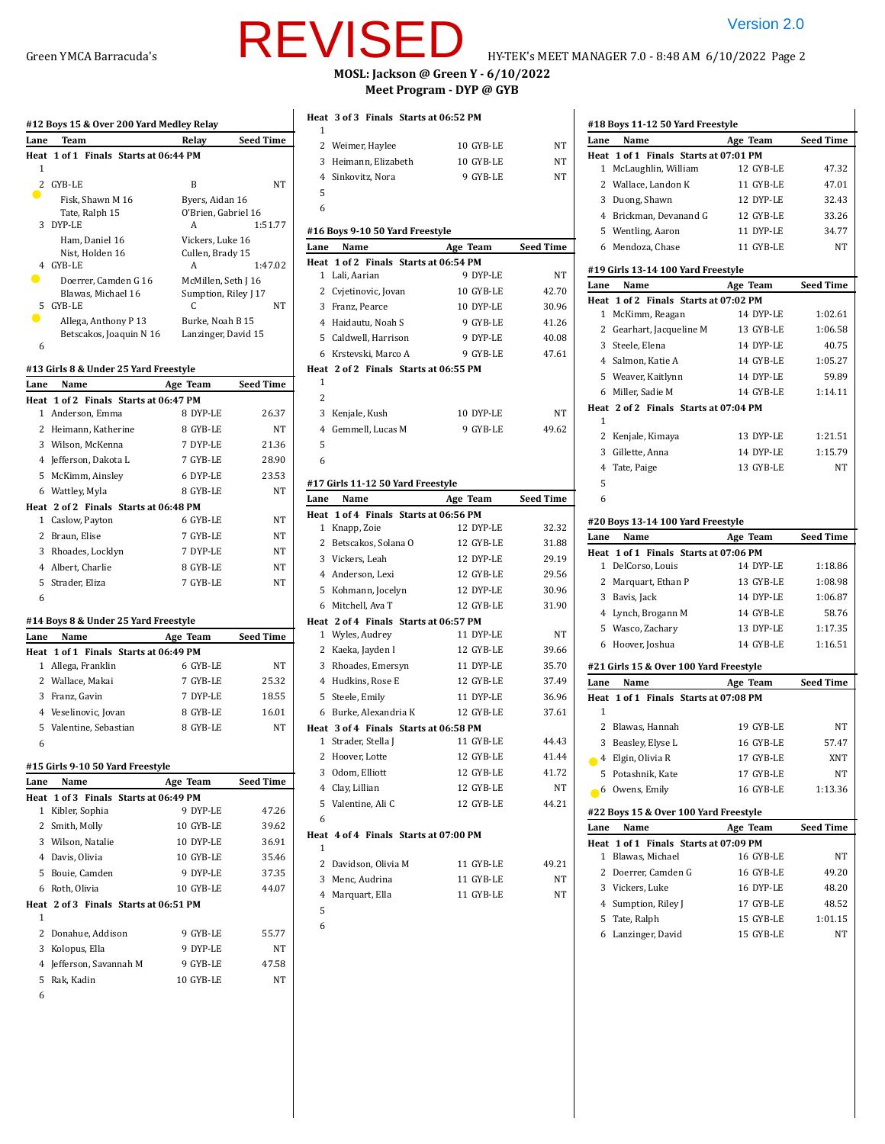|                | #12 Boys 15 & Over 200 Yard Medley Relay                  |                                         |                  |
|----------------|-----------------------------------------------------------|-----------------------------------------|------------------|
| Lane           | Team                                                      | Relay                                   | Seed Time        |
| 1              | Heat 1 of 1 Finals Starts at 06:44 PM                     |                                         |                  |
| $\overline{c}$ | GYB-LE                                                    | B                                       | NT               |
| D              | Fisk, Shawn M 16                                          | Byers, Aidan 16                         |                  |
|                | Tate, Ralph 15                                            | O'Brien, Gabriel 16                     |                  |
| 3              | DYP-LE                                                    | A                                       | 1:51.77          |
|                | Ham, Daniel 16<br>Nist, Holden 16                         | Vickers, Luke 16<br>Cullen, Brady 15    |                  |
| 4              | GYB-LE                                                    | A                                       | 1:47.02          |
|                | Doerrer. Camden G 16                                      | McMillen, Seth J 16                     |                  |
|                | Blawas, Michael 16                                        | Sumption, Riley J 17                    |                  |
| 5              | GYB-LE                                                    | C                                       | NΤ               |
|                | Allega, Anthony P 13<br>Betscakos, Joaquin N 16           | Burke, Noah B 15<br>Lanzinger, David 15 |                  |
| 6              |                                                           |                                         |                  |
|                |                                                           |                                         |                  |
|                | #13 Girls 8 & Under 25 Yard Freestyle                     |                                         |                  |
| Lane           | Name                                                      | Age Team                                | <b>Seed Time</b> |
|                | Heat 1 of 2 Finals Starts at 06:47 PM<br>1 Anderson, Emma | 8 DYP-LE                                | 26.37            |
|                | 2 Heimann, Katherine                                      | 8 GYB-LE                                | NT               |
|                | 3 Wilson, McKenna                                         | 7 DYP-LE                                | 21.36            |
|                | 4 Jefferson, Dakota L                                     | 7 GYB-LE                                | 28.90            |
|                | 5 McKimm, Ainsley                                         | 6 DYP-LE                                | 23.53            |
|                | 6 Wattley, Myla                                           | 8 GYB-LE                                | NT               |
|                | Heat 2 of 2 Finals Starts at 06:48 PM                     |                                         |                  |
|                | 1 Caslow, Payton                                          | 6 GYB-LE                                | NT               |
|                | 2 Braun, Elise                                            | 7 GYB-LE                                | NΤ               |
|                | 3 Rhoades, Locklyn                                        | 7 DYP-LE                                | NT               |
|                | 4 Albert, Charlie                                         | 8 GYB-LE                                | NT               |
|                | 5 Strader, Eliza                                          | 7 GYB-LE                                | NT               |
| 6              |                                                           |                                         |                  |
|                | #14 Boys 8 & Under 25 Yard Freestyle                      |                                         |                  |
| Lane           | Name                                                      | Age Team                                | Seed Time        |
|                | Heat 1 of 1 Finals Starts at 06:49 PM                     |                                         |                  |
|                | 1 Allega, Franklin                                        | 6 GYB-LE                                | NΤ               |
|                | 2 Wallace, Makai                                          | 7 GYB-LE                                | 25.32            |
|                | 3 Franz, Gavin                                            | 7 DYP-LE                                | 18.55            |
|                | 4 Veselinovic, Jovan                                      | 8 GYB-LE                                | 16.01            |
| 5              | Valentine, Sebastian                                      | 8 GYB-LE                                | NT               |
| 6              |                                                           |                                         |                  |
|                | #15 Girls 9-10 50 Yard Freestyle                          |                                         |                  |
| Lane           | Name                                                      | Age Team                                | <b>Seed Time</b> |
| Heat           | 1 of 3 Finals Starts at 06:49 PM                          |                                         |                  |
| 1              | Kibler, Sophia                                            | 9 DYP-LE                                | 47.26            |
|                | 2 Smith, Molly                                            | 10 GYB-LE                               | 39.62            |
|                | 3 Wilson, Natalie                                         | 10 DYP-LE                               | 36.91            |
|                | 4 Davis, Olivia                                           | 10 GYB-LE                               | 35.46            |
|                | 5 Bouie, Camden                                           | 9 DYP-LE                                | 37.35            |
|                | 6 Roth, Olivia                                            | 10 GYB-LE                               | 44.07            |
|                | Heat 2 of 3 Finals Starts at 06:51 PM                     |                                         |                  |
| 1<br>2         |                                                           |                                         |                  |
|                | Donahue, Addison                                          | 9 GYB-LE                                | 55.77            |
|                | 3 Kolopus, Ella                                           | 9 DYP-LE<br>9 GYB-LE                    | NΤ<br>47.58      |
| 5              | 4 Jefferson, Savannah M<br>Rak, Kadin                     | 10 GYB-LE                               | NΤ               |
| 6              |                                                           |                                         |                  |

# REVISED Version 2.0

#### **MOSL: Jackson @ Green Y - 6/10/2022 Meet Program - DYP @ GYB**

|              | Heat 3 of 3 Finals Starts at 06:52 PM                      |           |                  |
|--------------|------------------------------------------------------------|-----------|------------------|
| 1            | 2 Weimer, Haylee                                           | 10 GYB-LE | $_{\rm NT}$      |
|              | 3 Heimann, Elizabeth                                       | 10 GYB-LE | NT               |
|              | 4 Sinkovitz, Nora                                          | 9 GYB-LE  | <b>NT</b>        |
| 5            |                                                            |           |                  |
| 6            |                                                            |           |                  |
|              | #16 Boys 9-10 50 Yard Freestyle                            |           |                  |
| Lane         | <b>Name</b>                                                | Age Team  | <b>Seed Time</b> |
|              | Heat 1 of 2 Finals Starts at 06:54 PM                      |           |                  |
|              | 1 Lali, Aarian                                             | 9 DYP-LE  | NΤ               |
|              | 2 Cvjetinovic, Jovan                                       | 10 GYB-LE | 42.70            |
|              | 3 Franz, Pearce                                            | 10 DYP-LE | 30.96            |
|              | 4 Haidautu, Noah S                                         | 9 GYB-LE  | 41.26            |
|              | 5 Caldwell, Harrison                                       | 9 DYP-LE  | 40.08            |
|              | 6 Krstevski, Marco A                                       | 9 GYB-LE  | 47.61            |
|              | Heat 2 of 2 Finals Starts at 06:55 PM                      |           |                  |
| 1            |                                                            |           |                  |
| 2            |                                                            |           |                  |
|              | 3 Kenjale, Kush                                            | 10 DYP-LE | NΤ               |
|              | 4 Gemmell, Lucas M                                         | 9 GYB-LE  | 49.62            |
| 5            |                                                            |           |                  |
| 6            |                                                            |           |                  |
|              | #17 Girls 11-12 50 Yard Freestyle                          |           |                  |
| Lane         | <b>Name</b>                                                | Age Team  | <b>Seed Time</b> |
|              | Heat 1 of 4 Finals Starts at 06:56 PM                      |           |                  |
|              | 1 Knapp, Zoie                                              | 12 DYP-LE | 32.32            |
|              | 2 Betscakos, Solana O                                      | 12 GYB-LE | 31.88            |
|              | 3 Vickers, Leah                                            |           | 29.19            |
|              |                                                            | 12 DYP-LE |                  |
|              | 4 Anderson, Lexi                                           | 12 GYB-LE | 29.56            |
|              | 5 Kohmann, Jocelyn                                         | 12 DYP-LE | 30.96            |
|              | 6 Mitchell, Ava T                                          | 12 GYB-LE | 31.90            |
|              | Heat 2 of 4 Finals Starts at 06:57 PM                      |           |                  |
|              | 1 Wyles, Audrey                                            | 11 DYP-LE | NT               |
|              | 2 Kaeka, Jayden I                                          | 12 GYB-LE | 39.66            |
|              | 3 Rhoades, Emersyn                                         | 11 DYP-LE | 35.70            |
|              | 4 Hudkins, Rose E                                          | 12 GYB-LE | 37.49            |
|              | 5 Steele, Emily                                            | 11 DYP-LE | 36.96            |
|              | 6 Burke, Alexandria K                                      | 12 GYB-LE | 37.61            |
| $\mathbf{1}$ | Heat 3 of 4 Finals Starts at 06:58 PM<br>Strader, Stella J | 11 GYB-LE | 44.43            |
|              | 2 Hoover, Lotte                                            | 12 GYB-LE | 41.44            |
|              | 3 Odom, Elliott                                            | 12 GYB-LE | 41.72            |
|              | 4 Clay, Lillian                                            | 12 GYB-LE | NΤ               |
|              | 5 Valentine, Ali C                                         | 12 GYB-LE | 44.21            |
| 6            |                                                            |           |                  |
|              | Heat 4 of 4 Finals Starts at 07:00 PM                      |           |                  |
| 1            |                                                            |           |                  |
|              | 2 Davidson, Olivia M                                       | 11 GYB-LE | 49.21            |
|              | 3 Menc, Audrina                                            | 11 GYB-LE | NT               |
| 4            | Marquart, Ella                                             | 11 GYB-LE | NΤ               |
| 5            |                                                            |           |                  |
| 6            |                                                            |           |                  |

### **#18 Boys 11-12 50 Yard Freestyle Lane Name Age Team Seed Time Heat 1 of 1 Finals Starts at 07:01 PM** McLaughlin, William 12 GYB-LE 47.32 2 Wallace, Landon K 11 GYB-LE 47.01 Duong, Shawn 12 DYP-LE 32.43 Brickman, Devanand G 12 GYB-LE 33.26 Wentling, Aaron 11 DYP-LE 34.77 Mendoza, Chase 11 GYB-LE NT **#19 Girls 13-14 100 Yard Freestyle Lane Name Age Team Seed Time Heat 1 of 2 Finals Starts at 07:02 PM** McKimm, Reagan 14 DYP-LE 1:02.61 2 Gearhart, Jacqueline M 13 GYB-LE 1:06.58 Steele, Elena 14 DYP-LE 40.75 Salmon, Katie A 14 GYB-LE 1:05.27 Weaver, Kaitlynn 14 DYP-LE 59.89 Miller, Sadie M 14 GYB-LE 1:14.11 **Heat 2 of 2 Finals Starts at 07:04 PM** Kenjale, Kimaya 13 DYP-LE 1:21.51 Gillette, Anna 14 DYP-LE 1:15.79 Tate, Paige 13 GYB-LE NT **#20 Boys 13-14 100 Yard Freestyle Lane Name Age Team Seed Time Heat 1 of 1 Finals Starts at 07:06 PM** DelCorso, Louis 14 DYP-LE 1:18.86 2 Marquart, Ethan P 13 GYB-LE 1:08.98 Bavis, Jack 14 DYP-LE 1:06.87 Lynch, Brogann M 14 GYB-LE 58.76 Wasco, Zachary 13 DYP-LE 1:17.35 Hoover, Joshua 14 GYB-LE 1:16.51 **#21 Girls 15 & Over 100 Yard Freestyle Lane Name Age Team Seed Time Heat 1 of 1 Finals Starts at 07:08 PM** Blawas, Hannah 19 GYB-LE NT Beasley, Elyse L 16 GYB-LE 57.47 Elgin, Olivia R 17 GYB-LE XNT Potashnik, Kate 17 GYB-LE NT Owens, Emily 16 GYB-LE 1:13.36 **#22 Boys 15 & Over 100 Yard Freestyle Lane Name Age Team Seed Time Heat 1 of 1 Finals Starts at 07:09 PM** Blawas, Michael 16 GYB-LE NT 2 Doerrer, Camden G 16 GYB-LE 49.20 Vickers, Luke 16 DYP-LE 48.20 4 Sumption, Riley J 17 GYB-LE 48.52 Tate, Ralph 15 GYB-LE 1:01.15

Lanzinger, David 15 GYB-LE NT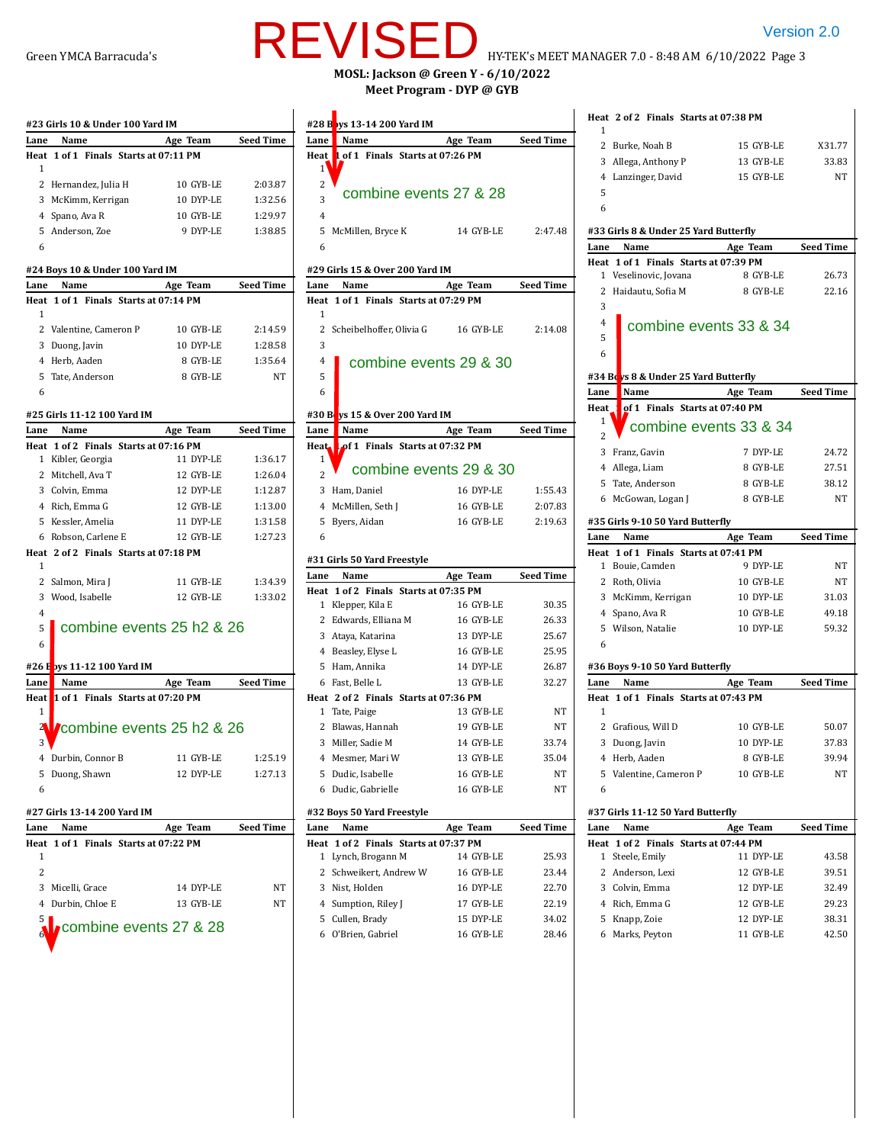# Green YMCA Barracuda's **HYLE VIU LE HY-TEK's MEET MANAGER 7.0 - 8:48 AM 6/10/2022 Page 3 MOSL: Jackson @ Green Y - 6/10/2022** REVISED HYTEK'S MEET MANAGER 7.0 - 8:48 AM 6/10/2022 Page 3

**Meet Program - DYP @ GYB**

|                | #23 Girls 10 & Under 100 Yard IM      |                           |           |                  |
|----------------|---------------------------------------|---------------------------|-----------|------------------|
| Lane           | Name                                  |                           | Age Team  | <b>Seed Time</b> |
|                | Heat 1 of 1 Finals Starts at 07:11 PM |                           |           |                  |
| 1              |                                       |                           |           |                  |
|                | 2 Hernandez, Julia H                  |                           | 10 GYB-LE | 2:03.87          |
|                | 3 McKimm, Kerrigan                    |                           | 10 DYP-LE | 1:32.56          |
|                | 4 Spano, Ava R                        |                           | 10 GYB-LE | 1:29.97          |
|                | 5 Anderson, Zoe                       |                           | 9 DYP-LE  | 1:38.85          |
| 6              |                                       |                           |           |                  |
|                | #24 Boys 10 & Under 100 Yard IM       |                           |           |                  |
| Lane           | Name                                  |                           | Age Team  | <b>Seed Time</b> |
|                | Heat 1 of 1 Finals Starts at 07:14 PM |                           |           |                  |
| 1              |                                       |                           |           |                  |
|                | 2 Valentine, Cameron P                |                           | 10 GYB-LE | 2:14.59          |
|                | 3 Duong, Javin                        |                           | 10 DYP-LE | 1:28.58          |
|                | 4 Herb, Aaden                         |                           | 8 GYB-LE  | 1:35.64          |
|                | 5 Tate, Anderson                      |                           | 8 GYB-LE  | NT               |
| 6              |                                       |                           |           |                  |
|                | #25 Girls 11-12 100 Yard IM           |                           |           |                  |
| Lane           | Name                                  |                           | Age Team  | <b>Seed Time</b> |
|                | Heat 1 of 2 Finals Starts at 07:16 PM |                           |           |                  |
|                | 1 Kibler, Georgia                     |                           | 11 DYP-LE | 1:36.17          |
|                | 2 Mitchell, Ava T                     |                           | 12 GYB-LE | 1:26.04          |
|                | 3 Colvin, Emma                        |                           | 12 DYP-LE | 1:12.87          |
|                | 4 Rich, Emma G                        |                           | 12 GYB-LE | 1:13.00          |
|                | 5 Kessler, Amelia                     |                           | 11 DYP-LE | 1:31.58          |
|                | 6 Robson, Carlene E                   |                           | 12 GYB-LE | 1:27.23          |
|                | Heat 2 of 2 Finals Starts at 07:18 PM |                           |           |                  |
| 1              |                                       |                           |           |                  |
|                | 2 Salmon, Mira J                      |                           | 11 GYB-LE | 1:34.39          |
|                | 3 Wood, Isabelle                      |                           | 12 GYB-LE | 1:33.02          |
| $\overline{4}$ |                                       |                           |           |                  |
| 5              |                                       | combine events 25 h2 & 26 |           |                  |
| 6              |                                       |                           |           |                  |
|                | #26 E bys 11-12 100 Yard IM           |                           |           |                  |
| Lane           | Name                                  |                           | Age Team  | <b>Seed Time</b> |
|                | Heat 1 of 1 Finals Starts at 07:20 PM |                           |           |                  |
| 1              |                                       |                           |           |                  |
| 21             | combine events 25 h2 & 26             |                           |           |                  |
| 3              |                                       |                           |           |                  |
| 4              | Durbin, Connor B                      |                           | 11 GYB-LE | 1:25.19          |
| 5              | Duong, Shawn                          |                           | 12 DYP-LE | 1:27.13          |
| 6              |                                       |                           |           |                  |
|                | #27 Girls 13-14 200 Yard IM           |                           |           |                  |
| Lane           | Name                                  |                           | Age Team  | Seed Time        |
|                | Heat 1 of 1 Finals Starts at 07:22 PM |                           |           |                  |
| 1              |                                       |                           |           |                  |
| 2              |                                       |                           |           |                  |
| 3              | Micelli, Grace                        |                           | 14 DYP-LE | NΤ               |
| 4              | Durbin, Chloe E                       |                           | 13 GYB-LE | NΤ               |
| 5              |                                       |                           |           |                  |
|                |                                       | combine events 27 & 28    |           |                  |
|                |                                       |                           |           |                  |

|                                        |           |                  |                                                            |               |                  |                | Heat 2 of 2 Finals Starts at 07:38 PM |            |
|----------------------------------------|-----------|------------------|------------------------------------------------------------|---------------|------------------|----------------|---------------------------------------|------------|
| s 10 & Under 100 Yard IM<br>Name       | Age Team  | Seed Time        | #28 B ys 13-14 200 Yard IM<br>Name                         |               | <b>Seed Time</b> | 1              |                                       |            |
| of 1 Finals Starts at 07:11 PM         |           |                  | Lane<br>1 of 1 Finals Starts at 07:26 PM<br>Heat           | Age Team      |                  |                | 2 Burke, Noah B                       | 15 GYB-LE  |
|                                        |           |                  | $1^{\circ}$                                                |               |                  | 3              | Allega, Anthony P                     | 13 GYB-LE  |
| rnandez, Julia H                       | 10 GYB-LE | 2:03.87          | 2                                                          |               |                  |                | 4 Lanzinger, David                    | 15 GYB-LE  |
| :Kimm, Kerrigan                        | 10 DYP-LE | 1:32.56          | combine events 27 & 28<br>3                                |               |                  | 5              |                                       |            |
| ano, Ava R                             | 10 GYB-LE | 1:29.97          | $\overline{4}$                                             |               |                  | 6              |                                       |            |
| derson, Zoe                            | 9 DYP-LE  | 1:38.85          | 5 McMillen, Bryce K                                        | 14 GYB-LE     | 2:47.48          |                | #33 Girls 8 & Under 25 Yard Butterfly |            |
|                                        |           |                  | 6                                                          |               |                  | Lane           | Name                                  | Age Team   |
|                                        |           |                  |                                                            |               |                  |                | Heat 1 of 1 Finals Starts at 07:39 PM |            |
| s 10 & Under 100 Yard IM               |           |                  | #29 Girls 15 & Over 200 Yard IM                            |               |                  |                | 1 Veselinovic, Jovana                 | 8 GYB-LE   |
| Name<br>of 1 Finals Starts at 07:14 PM | Age Team  | Seed Time        | Lane<br>Name                                               | Age Team      | Seed Time        |                | 2 Haidautu, Sofia M                   | 8 GYB-LE   |
|                                        |           |                  | Heat 1 of 1 Finals Starts at 07:29 PM<br>$\mathbf{1}$      |               |                  | 3              |                                       |            |
| lentine, Cameron P                     | 10 GYB-LE | 2:14.59          | 2 Scheibelhoffer, Olivia G                                 | 16 GYB-LE     | 2:14.08          | $\overline{4}$ | combine events 33 & 34                |            |
| ong, Javin                             | 10 DYP-LE | 1:28.58          | 3                                                          |               |                  | 5              |                                       |            |
| rb, Aaden                              | 8 GYB-LE  | 1:35.64          | $\overline{4}$<br>combine events 29 & 30                   |               |                  | 6              |                                       |            |
| te, Anderson                           | 8 GYB-LE  | NΤ               | 5                                                          |               |                  |                | #34 Beys 8 & Under 25 Yard Butterfly  |            |
|                                        |           |                  | 6                                                          |               |                  | Lane           | Name                                  | Age Team   |
|                                        |           |                  |                                                            |               |                  | Heat           | of 1 Finals Starts at 07:40 PM        |            |
| s 11-12 100 Yard IM                    |           |                  | vs 15 & Over 200 Yard IM<br>#30 $B$                        |               |                  | 1              | combine events 33 & 34                |            |
| Name<br>of 2 Finals Starts at 07:16 PM | Age Team  | <b>Seed Time</b> | Lane<br>Name<br>of 1 Finals Starts at 07:32 PM             | Age Team      | <b>Seed Time</b> |                |                                       |            |
| oler, Georgia                          | 11 DYP-LE | 1:36.17          | Heat.<br>1                                                 |               |                  |                | 3 Franz, Gavin                        | 7 DYP-LE   |
| tchell, Ava T                          | 12 GYB-LE | 1:26.04          | combine events 29 & 30<br>$\overline{c}$                   |               |                  |                | 4 Allega, Liam                        | 8 GYB-LE   |
| lvin, Emma                             | 12 DYP-LE | 1:12.87          | 3 Ham, Daniel                                              | 16 DYP-LE     | 1:55.43          | 5              | Tate, Anderson                        | 8 GYB-LE   |
| ch, Emma G                             | 12 GYB-LE | 1:13.00          | 4 McMillen, Seth J                                         | 16 GYB-LE     | 2:07.83          |                | 6 McGowan, Logan J                    | 8 GYB-LE   |
| ssler, Amelia                          | 11 DYP-LE | 1:31.58          | 5 Byers, Aidan                                             | 16 GYB-LE     | 2:19.63          |                | #35 Girls 9-10 50 Yard Butterfly      |            |
| bson, Carlene E                        | 12 GYB-LE | 1:27.23          | 6                                                          |               |                  | Lane           | Name                                  | Age Team   |
| of 2 Finals Starts at 07:18 PM         |           |                  |                                                            |               |                  |                | Heat 1 of 1 Finals Starts at 07:41 PM |            |
|                                        |           |                  | #31 Girls 50 Yard Freestyle                                |               |                  |                | 1 Bouie, Camden                       | 9 DYP-LE   |
| lmon, Mira J                           | 11 GYB-LE | 1:34.39          | Name<br>Lane                                               | Age Team      | <b>Seed Time</b> |                | 2 Roth, Olivia                        | 10 GYB-LE  |
| ood, Isabelle                          | 12 GYB-LE | 1:33.02          | Heat 1 of 2 Finals Starts at 07:35 PM<br>1 Klepper, Kila E | 16 GYB-LE     | 30.35            |                | 3 McKimm, Kerrigan                    | 10 DYP-LE  |
|                                        |           |                  | 2 Edwards, Elliana M                                       | 16 GYB-LE     | 26.33            |                | 4 Spano, Ava R                        | 10 GYB-LE  |
| combine events 25 h2 & 26              |           |                  | 3 Ataya, Katarina                                          | 13 DYP-LE     | 25.67            |                | 5 Wilson, Natalie                     | 10 DYP-LE  |
|                                        |           |                  | 4 Beasley, Elyse L                                         | 16 GYB-LE     | 25.95            | 6              |                                       |            |
| s 11-12 100 Yard IM                    |           |                  | 5 Ham, Annika                                              | 14 DYP-LE     | 26.87            |                | #36 Boys 9-10 50 Yard Butterfly       |            |
| Name                                   | Age Team  | <b>Seed Time</b> | 6 Fast, Belle L                                            | 13 GYB-LE     | 32.27            | Lane           | Name                                  | Age Team   |
| of 1 Finals Starts at 07:20 PM         |           |                  | Heat 2 of 2 Finals Starts at 07:36 PM                      |               |                  |                | Heat 1 of 1 Finals Starts at 07:43 PM |            |
|                                        |           |                  | 1 Tate, Paige                                              | 13 GYB-LE     | NΤ               | 1              |                                       |            |
| combine events 25 h2 & 26              |           |                  | 2 Blawas, Hannah                                           | 19 GYB-LE     | NT               |                | 2 Grafious, Will D                    | 10 GYB-LE  |
|                                        |           |                  | 3 Miller, Sadie M                                          | 14 GYB-LE     | 33.74            |                | 3 Duong, Javin                        | 10 DYP-LE  |
| ırbin, Connor B                        | 11 GYB-LE | 1:25.19          | 4 Mesmer, Mari W                                           | 13 GYB-LE     | 35.04            |                | 4 Herb. Aaden                         | 8 GYB-LE   |
| ong, Shawn                             | 12 DYP-LE | 1:27.13          | 5 Dudic, Isabelle                                          | 16 GYB-LE     | NT               |                | 5 Valentine, Cameron P                | 10 GYB-LE  |
|                                        |           |                  | 6 Dudic, Gabrielle                                         | 16 GYB-LE     | NΤ               | 6              |                                       |            |
| s 13-14 200 Yard IM                    |           |                  | #32 Boys 50 Yard Freestyle                                 |               |                  |                | #37 Girls 11-12 50 Yard Butterfly     |            |
| Name                                   | Age Team  | Seed Time        | Name<br>Lane                                               | Age Team      | Seed Time        | Lane           | Name                                  | Age Team   |
| of 1 Finals Starts at 07:22 PM         |           |                  | Heat 1 of 2 Finals Starts at 07:37 PM                      |               |                  |                | Heat 1 of 2 Finals Starts at 07:44 PM |            |
|                                        |           |                  | 1 Lynch, Brogann M                                         | 14 GYB-LE     | 25.93            |                | 1 Steele, Emily                       | 11 DYP-LE  |
|                                        |           |                  | 2 Schweikert, Andrew W                                     | 16 GYB-LE     | 23.44            | 2              | Anderson, Lexi                        | 12 GYB-LE  |
| celli, Grace                           | 14 DYP-LE | NΤ               | 3 Nist, Holden                                             | 16 DYP-LE     | 22.70            |                | 3 Colvin, Emma                        | 12 DYP-LE  |
| rbin, Chloe E                          | 13 GYB-LE | NT               | 4 Sumption, Riley J                                        | 17 GYB-LE     | 22.19            |                | 4 Rich, Emma G                        | 12 GYB-LE  |
| combine events 27 & 28                 |           |                  | 5 Cullen, Brady                                            | 15 DYP-LE     | 34.02            |                | 5 Knapp, Zoie                         | 12 DYP-LE  |
|                                        |           |                  | $O^{\dagger}$                                              | $16$ CVD $1E$ | 2016             |                | Marke Dovtor                          | 11 CVD I E |

O'Brien, Gabriel 16 GYB-LE 28.46

|             | Heat 2 of 2 Finals Starts at 07:38 PM                          |           |                  |
|-------------|----------------------------------------------------------------|-----------|------------------|
| 1           |                                                                |           |                  |
|             | 2 Burke, Noah B                                                | 15 GYB-LE | X31.77           |
|             | 3 Allega, Anthony P                                            | 13 GYB-LE | 33.83            |
|             | 4 Lanzinger, David                                             | 15 GYB-LE | NT               |
| 5           |                                                                |           |                  |
| 6           |                                                                |           |                  |
|             | #33 Girls 8 & Under 25 Yard Butterfly                          |           |                  |
|             | Name                                                           |           |                  |
| Lane        |                                                                | Age Team  | <b>Seed Time</b> |
|             | Heat 1 of 1 Finals Starts at 07:39 PM<br>1 Veselinovic, Jovana | 8 GYB-LE  | 26.73            |
| 2           | Haidautu, Sofia M                                              | 8 GYB-LE  | 22.16            |
| 3           |                                                                |           |                  |
|             |                                                                |           |                  |
| 4           | combine events 33 & 34                                         |           |                  |
| 5           |                                                                |           |                  |
| 6           |                                                                |           |                  |
|             | #34 Boys 8 & Under 25 Yard Butterfly                           |           |                  |
| Lane        | Name                                                           | Age Team  | <b>Seed Time</b> |
| Heat        | of 1 Finals Starts at 07:40 PM                                 |           |                  |
| $\mathbf 1$ |                                                                |           |                  |
| 2           | combine events 33 & 34                                         |           |                  |
|             | 3 Franz, Gavin                                                 | 7 DYP-LE  | 24.72            |
|             | 4 Allega, Liam                                                 | 8 GYB-LE  | 27.51            |
|             | 5 Tate, Anderson                                               | 8 GYB-LE  | 38.12            |
|             | 6 McGowan, Logan J                                             | 8 GYB-LE  | NΤ               |
|             |                                                                |           |                  |
|             | #35 Girls 9-10 50 Yard Butterfly                               |           |                  |
|             |                                                                |           |                  |
| Lane        | Name                                                           | Age Team  | <b>Seed Time</b> |
|             | Heat 1 of 1 Finals Starts at 07:41 PM                          |           |                  |
|             | 1 Bouie, Camden                                                | 9 DYP-LE  | NΤ               |
|             | 2 Roth, Olivia                                                 | 10 GYB-LE | NΤ               |
|             | 3 McKimm, Kerrigan                                             | 10 DYP-LE | 31.03            |
|             | 4 Spano, Ava R                                                 | 10 GYB-LE | 49.18            |
|             | 5 Wilson, Natalie                                              | 10 DYP-LE | 59.32            |
| 6           |                                                                |           |                  |
|             |                                                                |           |                  |
|             | #36 Boys 9-10 50 Yard Butterfly                                |           |                  |
| Lane        | Name                                                           | Age Team  | <b>Seed Time</b> |
|             | Heat 1 of 1 Finals Starts at 07:43 PM                          |           |                  |
| 1           |                                                                |           |                  |
|             | 2 Grafious, Will D                                             | 10 GYB-LE | 50.07            |
|             | 3 Duong, Javin                                                 | 10 DYP-LE | 37.83            |
|             | 4 Herb, Aaden                                                  | 8 GYB-LE  | 39.94            |
|             | 5 Valentine, Cameron P                                         | 10 GYB-LE | NΤ               |
| 6           |                                                                |           |                  |
|             | #37 Girls 11-12 50 Yard Butterfly                              |           |                  |
| Lane        | Name                                                           | Age Team  | <b>Seed Time</b> |
|             | Heat 1 of 2 Finals Starts at 07:44 PM                          |           |                  |
|             | 1 Steele, Emily                                                | 11 DYP-LE | 43.58            |
|             | 2 Anderson, Lexi                                               | 12 GYB-LE | 39.51            |
|             | 3 Colvin, Emma                                                 | 12 DYP-LE | 32.49            |
|             | 4 Rich, Emma G                                                 | 12 GYB-LE | 29.23            |
|             | 5 Knapp, Zoie                                                  | 12 DYP-LE | 38.31            |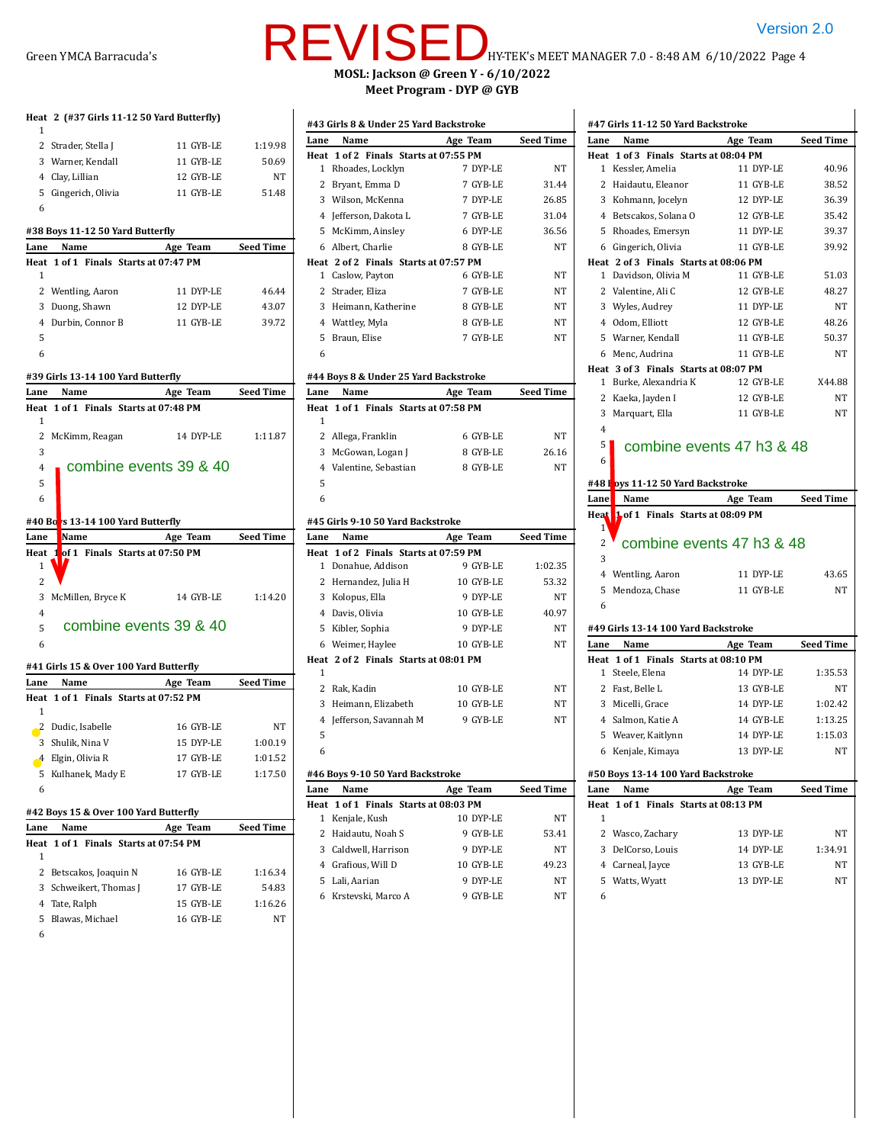# Green YMCA Barracuda's **HUREVISE** DHY-TEK's MEET MANAGER 7.0 - 8:48 AM 6/10/2022 Page 4 **MOSL: Jackson @ Green Y - 6/10/2022 Meet Program - DYP @ GYB**

| 1              | Heat 2 (#37 Girls 11-12 50 Yard Butterfly)       |           |                  |
|----------------|--------------------------------------------------|-----------|------------------|
|                | 2 Strader, Stella J                              | 11 GYB-LE | 1:19.98          |
|                | 3 Warner, Kendall                                | 11 GYB-LE | 50.69            |
|                | 4 Clay, Lillian                                  | 12 GYB-LE | NT               |
|                | 5 Gingerich, Olivia                              | 11 GYB-LE | 51.48            |
| 6              |                                                  |           |                  |
|                | #38 Boys 11-12 50 Yard Butterfly                 |           |                  |
| Lane           | Name                                             | Age Team  | <b>Seed Time</b> |
|                | Heat 1 of 1 Finals Starts at 07:47 PM            |           |                  |
| 1              |                                                  |           |                  |
|                | 2 Wentling, Aaron                                | 11 DYP-LE | 46.44            |
|                | 3 Duong, Shawn                                   | 12 DYP-LE | 43.07            |
|                | 4 Durbin, Connor B                               | 11 GYB-LE | 39.72            |
| 5              |                                                  |           |                  |
| 6              |                                                  |           |                  |
|                | #39 Girls 13 14 100 Yard Butterfly               |           |                  |
| Lane           | Name                                             | Age Team  | <b>Seed Time</b> |
|                | Heat 1 of 1 Finals Starts at 07:48 PM            |           |                  |
| 1              |                                                  |           |                  |
|                | 2 McKimm, Reagan                                 | 14 DYP-LE | 1:11.87          |
| 3              |                                                  |           |                  |
| $\overline{4}$ | combine events 39 & 40                           |           |                  |
| 5              |                                                  |           |                  |
| 6              |                                                  |           |                  |
|                |                                                  |           |                  |
|                |                                                  |           |                  |
|                | #40 Bo <mark>r</mark> s 13-14 100 Yard Butterfly |           |                  |
| Lane           | Name                                             | Age Team  | <b>Seed Time</b> |
| 1              | Heat 1 of 1 Finals Starts at 07:50 PM            |           |                  |
| 2              |                                                  |           |                  |
|                |                                                  |           |                  |
| $\overline{4}$ | 3 McMillen, Bryce K                              | 14 GYB-LE | 1:14.20          |
|                | combine events 39 & 40                           |           |                  |
| 5<br>6         |                                                  |           |                  |
|                |                                                  |           |                  |
|                | #41 Girls 15 & Over 100 Yard Butterfly           |           |                  |
|                | Lane Name                                        | Age Team  | <b>Seed Time</b> |
|                | Heat 1 of 1 Finals Starts at 07:52 PM            |           |                  |
| 1              |                                                  |           |                  |
|                | 2 Dudic, Isabelle                                | 16 GYB-LE | NT               |
| 3              | Shulik, Nina V                                   | 15 DYP-LE | 1:00.19          |
| 4              | Elgin, Olivia R                                  | 17 GYB-LE | 1:01.52          |
|                | 5 Kulhanek, Mady E                               | 17 GYB-LE | 1:17.50          |
| 6              |                                                  |           |                  |
|                | #42 Boys 15 & Over 100 Yard Butterfly            |           |                  |
| Lane           | Name                                             | Age Team  | Seed Time        |
| Heat           | 1 of 1 Finals Starts at 07:54 PM                 |           |                  |
| 1              |                                                  |           |                  |
| 2              | Betscakos, Joaquin N                             | 16 GYB-LE | 1:16.34          |
| 3              | Schweikert, Thomas J                             | 17 GYB-LE | 54.83            |

5 Blawas, Michael 16 GYB-LE NT

6

## 2 Strader, Eliza 7 GYB-LE NT 3 Heimann, Katherine 8 GYB-LE NT 4 Wattley, Myla 8 GYB-LE NT 5 Braun, Elise 7 GYB-LE NT 6 **#44 Boys 8 & Under 25 Yard Backstroke Lane Name Age Team Seed Time Heat 1 of 1 Finals Starts at 07:58 PM** 1 2 Allega, Franklin 6 GYB-LE NT 3 McGowan, Logan J 8 GYB-LE 26.16 4 Valentine, Sebastian 8 GYB-LE NT 5 6 **#45 Girls 9-10 50 Yard Backstroke Lane Name Age Team Seed Time Heat 1 of 2 Finals Starts at 07:59 PM** 1 Donahue, Addison 9 GYB-LE 1:02.35 2 Hernandez, Julia H 10 GYB-LE 53.32 3 Kolopus, Ella 9 DYP-LE NT 4 Davis, Olivia 10 GYB-LE 40.97 5 Kibler, Sophia 9 DYP-LE NT 6 Weimer, Haylee 10 GYB-LE NT **Heat 2 of 2 Finals Starts at 08:01 PM** 1 2 Rak, Kadin 10 GYB-LE NT 3 Heimann, Elizabeth 10 GYB-LE NT 4 Jefferson, Savannah M 9 GYB-LE NT 5 6 **#46 Boys 9-10 50 Yard Backstroke Lane Name Age Team Seed Time Heat 1 of 1 Finals Starts at 08:03 PM** 1 Kenjale, Kush 10 DYP-LE NT 2 Haidautu, Noah S 9 GYB-LE 53.41 3 Caldwell, Harrison 9 DYP-LE NT 4 Grafious, Will D 10 GYB-LE 49.23 5 Lali, Aarian 9 DYP-LE NT 6 Krstevski, Marco A 9 GYB-LE NT combine events 39 & 40<br>  $\frac{13.14 \text{ 100}}{\text{3 M} \cdot \text{K}}$ <br>  $\frac{1 \text{ 100}}{\text{4 M} \cdot \text{K}}$ <br>  $\frac{1 \text{ 100}}{\text{4 M} \cdot \text{K}}$ <br>  $\frac{1 \text{ 100}}{\text{4 M} \cdot \text{K}}$ <br>  $\frac{1 \text{ 100}}{\text{4 M} \cdot \text{K}}$ <br>  $\frac{1 \text{ 100}}{\text{4 M} \cdot \text{K}}$ <br>  $\frac{1 \text{ 100}}{\text{4 M}$

**#43 Girls 8 & Under 25 Yard Backstroke**

**Heat 1 of 2 Finals Starts at 07:55 PM**

**Heat 2 of 2 Finals Starts at 07:57 PM**

**Lane Name Age Team Seed Time**

1 Rhoades, Locklyn 7 DYP-LE NT 2 Bryant, Emma D 7 GYB-LE 31.44 3 Wilson, McKenna 7 DYP-LE 26.85 4 Jefferson, Dakota L 7 GYB-LE 31.04 5 McKimm, Ainsley 6 DYP-LE 36.56 6 Albert, Charlie 8 GYB-LE NT

1 Caslow, Payton 6 GYB-LE NT

|                | #47 Girls 11-12 50 Yard Backstroke                |                        |                  |
|----------------|---------------------------------------------------|------------------------|------------------|
| Lane           | Name                                              | Age Team               | <b>Seed Time</b> |
|                | Heat 1 of 3 Finals Starts at 08:04 PM             |                        |                  |
| 1              | Kessler, Amelia                                   | 11 DYP-LE              | 40.96            |
|                | 2 Haidautu, Eleanor                               | 11 GYB-LE              | 38.52            |
|                | 3 Kohmann, Jocelyn                                | 12 DYP-LE              | 36.39            |
|                | 4 Betscakos, Solana O                             | 12 GYB-LE              | 35.42            |
|                | 5 Rhoades, Emersyn                                | 11 DYP-LE              | 39.37            |
|                | 6 Gingerich, Olivia                               | 11 GYB-LE              | 39.92            |
|                | Heat 2 of 3 Finals Starts at 08:06 PM             |                        |                  |
|                | 1 Davidson, Olivia M                              | 11 GYB-LE              | 51.03            |
|                | 2 Valentine, Ali C                                | 12 GYB-LE              | 48.27            |
|                | 3 Wyles, Audrey                                   | 11 DYP-LE              | NT               |
|                | 4 Odom, Elliott                                   | 12 GYB-LE              | 48.26            |
|                | 5 Warner, Kendall                                 | 11 GYB-LE              | 50.37            |
|                | 6 Menc, Audrina                                   | 11 GYB-LE              | NT               |
|                | Heat 3 of 3 Finals Starts at 08:07 PM             |                        |                  |
|                | 1 Burke, Alexandria K                             | 12 GYB-LE              | X44.88           |
|                | 2 Kaeka, Jayden I                                 | 12 GYB-LE              | NT               |
| 3              | Marquart, Ella                                    | 11 GYB-LE              | NT               |
| $\overline{4}$ |                                                   |                        |                  |
| 5              | combine events 47 h3 & 48                         |                        |                  |
| 6              |                                                   |                        |                  |
|                | #48 I <mark>.</mark> oys 11-12 50 Yard Backstroke |                        |                  |
| Lane           | Name                                              | Age Team               | <b>Seed Time</b> |
| Heat           | 1 of 1 Finals Starts at 08:09 PM                  |                        |                  |
| $1^{\circ}$    |                                                   |                        |                  |
| 2              | combine events 47 h3 & 48                         |                        |                  |
| 3              |                                                   |                        |                  |
|                | 4 Wentling, Aaron                                 | 11 DYP-LE              | 43.65            |
| 5              | Mendoza, Chase                                    | 11 GYB-LE              | NT               |
| 6              |                                                   |                        |                  |
|                |                                                   |                        |                  |
|                | #49 Girls 13-14 100 Yard Backstroke               |                        |                  |
| Lane           | Name                                              | Age Team               | <b>Seed Time</b> |
|                | Heat 1 of 1 Finals Starts at 08:10 PM             |                        |                  |
| $\mathbf{1}$   | Steele, Elena                                     | 14 DYP-LE              | 1:35.53          |
|                | 2 Fast, Belle L                                   | 13 GYB-LE              | NT               |
|                | 3 Micelli, Grace                                  | 14 DYP-LE              | 1:02.42          |
|                | 4 Salmon, Katie A                                 | 14 GYB-LE              | 1:13.25          |
| 5              | Weaver, Kaitlynn                                  | 14 DYP-LE              | 1:15.03          |
|                | 6 Kenjale, Kimaya                                 | 13 DYP-LE              | NT               |
|                | #50 Boys 13-14 100 Yard Backstroke                |                        |                  |
| Lane           | Name                                              | Age Team               | Seed Time        |
| Heat           | 1 of 1 Finals Starts at 08:13 PM                  |                        |                  |
| 1              |                                                   |                        |                  |
| 2              |                                                   |                        | NT               |
|                |                                                   |                        |                  |
| 3              | Wasco, Zachary<br>DelCorso, Louis                 | 13 DYP-LE<br>14 DYP-LE | 1:34.91          |
|                |                                                   | 13 GYB-LE              | NT               |
| 5              | 4 Carneal, Jayce                                  | 13 DYP-LE              | NT               |
|                | Watts, Wyatt                                      |                        |                  |
| 6              |                                                   |                        |                  |
|                |                                                   |                        |                  |

 $\overline{\phantom{a}}$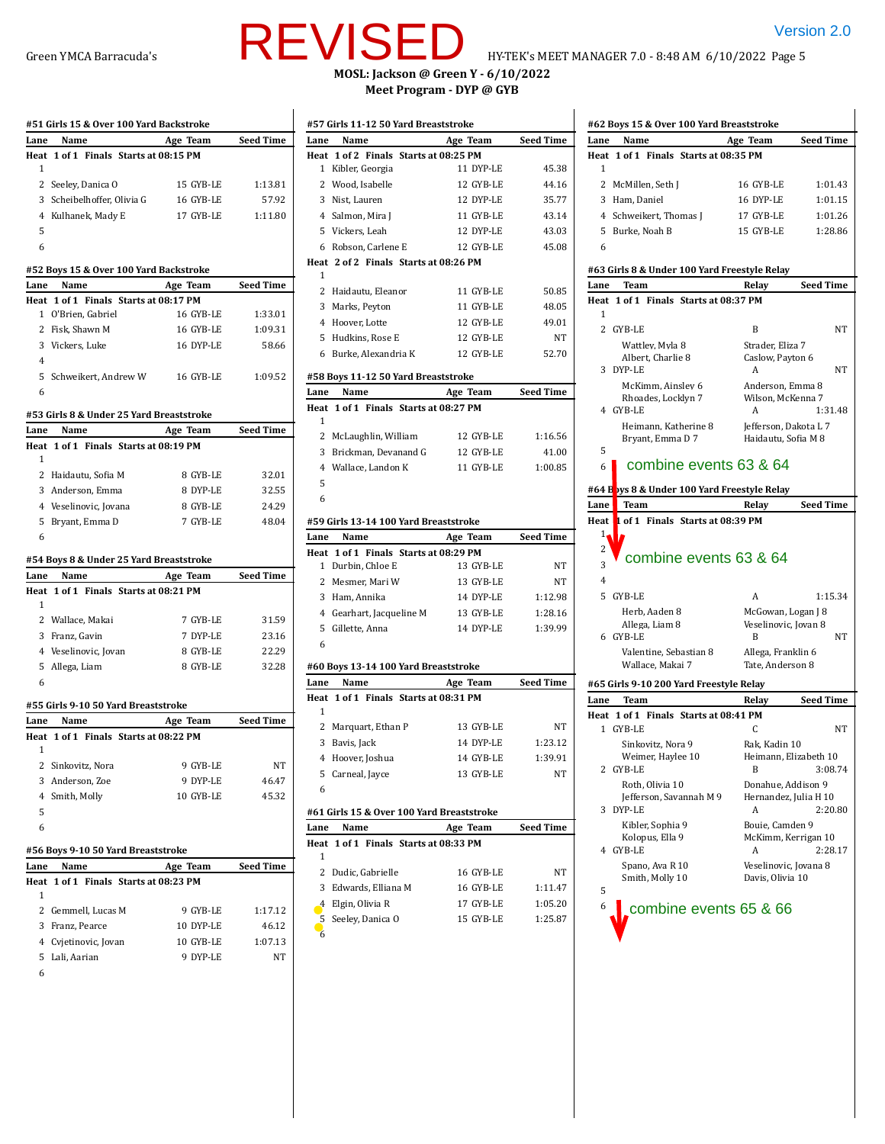|      | #51 Girls 15 & Over 100 Yard Backstroke                |           |                  |
|------|--------------------------------------------------------|-----------|------------------|
| Lane | Name                                                   | Age Team  | Seed Time        |
| Heat | 1 of 1 Finals Starts at 08:15 PM                       |           |                  |
| 1    |                                                        |           |                  |
| 2    | Seeley, Danica O                                       | 15 GYB-LE | 1:13.81          |
|      | 3 Scheibelhoffer, Olivia G                             | 16 GYB-LE | 57.92            |
|      | 4 Kulhanek, Mady E                                     | 17 GYB-LE | 1:11.80          |
| 5    |                                                        |           |                  |
| 6    |                                                        |           |                  |
|      |                                                        |           |                  |
|      | #52 Boys 15 & Over 100 Yard Backstroke<br>Name         |           |                  |
| Lane |                                                        | Age Team  | Seed Time        |
| Heat | 1 of 1 Finals Starts at 08:17 PM<br>1 O'Brien, Gabriel | 16 GYB-LE | 1:33.01          |
|      | 2 Fisk, Shawn M                                        | 16 GYB-LE | 1:09.31          |
|      | 3 Vickers, Luke                                        | 16 DYP-LE | 58.66            |
| 4    |                                                        |           |                  |
|      |                                                        |           |                  |
|      | 5 Schweikert, Andrew W                                 | 16 GYB-LE | 1:09.52          |
| 6    |                                                        |           |                  |
|      | #53 Girls 8 & Under 25 Yard Breaststroke               |           |                  |
| Lane | Name                                                   | Age Team  | <b>Seed Time</b> |
| Heat | 1 of 1 Finals Starts at 08:19 PM                       |           |                  |
| 1    |                                                        |           |                  |
|      | 2 Haidautu, Sofia M                                    | 8 GYB-LE  | 32.01            |
|      | 3 Anderson, Emma                                       | 8 DYP-LE  | 32.55            |
|      | 4 Veselinovic, Jovana                                  | 8 GYB-LE  | 24.29            |
|      | 5 Bryant, Emma D                                       | 7 GYB-LE  | 48.04            |
| 6    |                                                        |           |                  |
|      |                                                        |           |                  |
|      |                                                        |           |                  |
|      | #54 Boys 8 & Under 25 Yard Breaststroke                |           |                  |
| Lane | Name                                                   | Age Team  | Seed Time        |
| 1    | Heat 1 of 1 Finals Starts at 08:21 PM                  |           |                  |
|      |                                                        |           |                  |
|      | 2 Wallace, Makai                                       | 7 GYB-LE  | 31.59            |
|      | 3 Franz, Gavin                                         | 7 DYP-LE  | 23.16            |
|      | 4 Veselinovic, Jovan                                   | 8 GYB-LE  | 22.29            |
|      | 5 Allega, Liam                                         | 8 GYB-LE  | 32.28            |
| 6    |                                                        |           |                  |
|      | #55 Girls 9-10 50 Yard Breaststroke                    |           |                  |
| Lane | Name                                                   | Age Team  | Seed Time        |
| Heat | 1 of 1 Finals Starts at 08:22 PM                       |           |                  |
| 1    |                                                        |           |                  |
|      | 2 Sinkovitz, Nora                                      | 9 GYB-LE  | NΤ               |
|      | 3 Anderson, Zoe                                        | 9 DYP-LE  | 46.47            |
|      | 4 Smith, Molly                                         | 10 GYB-LE | 45.32            |
| 5    |                                                        |           |                  |
| 6    |                                                        |           |                  |
|      | #56 Boys 9-10 50 Yard Breaststroke                     |           |                  |
| Lane | Name                                                   | Age Team  | <b>Seed Time</b> |
| Heat | 1 of 1 Finals Starts at 08:23 PM                       |           |                  |
| 1    |                                                        |           |                  |
|      | 2 Gemmell, Lucas M                                     | 9 GYB-LE  | 1:17.12          |
|      | 3 Franz, Pearce                                        | 10 DYP-LE | 46.12            |
|      | 4 Cvjetinovic, Jovan                                   | 10 GYB-LE | 1:07.13          |

6

# REVISED HYTEK'S MEET MANAGER 7.0 - 8:48 AM 6/10/2022 Page 5

# Green YMCA Barracuda's  $\blacksquare$   $\blacksquare$   $\blacksquare$   $\blacksquare$   $\blacksquare$  HY-TEK's MEET MANAGER 7.0 - 8:48 AM 6/10/2022 Page 5

**MOSL: Jackson @ Green Y - 6/10/2022 Meet Program - DYP @ GYB**

|              | #57 Girls 11-12 50 Yard Breaststroke      |           |                  |
|--------------|-------------------------------------------|-----------|------------------|
| Lane         | Name                                      | Age Team  | <b>Seed Time</b> |
|              | Heat 1 of 2 Finals Starts at 08:25 PM     |           |                  |
| $\mathbf{1}$ | Kibler, Georgia                           | 11 DYP-LE | 45.38            |
|              | 2 Wood, Isabelle                          | 12 GYB-LE | 44.16            |
|              | 3 Nist, Lauren                            | 12 DYP-LE | 35.77            |
|              | 4 Salmon, Mira J                          | 11 GYB-LE | 43.14            |
|              | 5 Vickers, Leah                           | 12 DYP-LE | 43.03            |
|              | 6 Robson, Carlene E                       | 12 GYB-LE | 45.08            |
|              | Heat 2 of 2 Finals Starts at 08:26 PM     |           |                  |
| 1            |                                           |           |                  |
|              | 2 Haidautu, Eleanor                       | 11 GYB-LE | 50.85            |
|              | 3 Marks, Peyton                           | 11 GYB-LE | 48.05            |
|              | 4 Hoover, Lotte                           | 12 GYB-LE | 49.01            |
|              | 5 Hudkins, Rose E                         | 12 GYB-LE | NT               |
|              | 6 Burke, Alexandria K                     | 12 GYB-LE | 52.70            |
|              | #58 Boys 11-12 50 Yard Breaststroke       |           |                  |
| Lane         | Name                                      | Age Team  | <b>Seed Time</b> |
|              | Heat 1 of 1 Finals Starts at 08:27 PM     |           |                  |
| 1            |                                           |           |                  |
| 2            | McLaughlin, William                       | 12 GYB-LE | 1:16.56          |
|              | 3 Brickman, Devanand G                    | 12 GYB-LE | 41.00            |
|              | 4 Wallace, Landon K                       | 11 GYB-LE | 1:00.85          |
| 5            |                                           |           |                  |
| 6            |                                           |           |                  |
|              | #59 Girls 13-14 100 Yard Breaststroke     |           |                  |
|              |                                           |           |                  |
| Lane         | Name                                      | Age Team  | <b>Seed Time</b> |
| Heat         | 1 of 1 Finals Starts at 08:29 PM          |           |                  |
| 1            | Durbin, Chloe E                           | 13 GYB-LE | NT               |
|              | 2 Mesmer, Mari W                          | 13 GYB-LE | NΤ               |
|              | 3 Ham, Annika                             | 14 DYP-LE | 1:12.98          |
|              | 4 Gearhart, Jacqueline M                  | 13 GYB-LE | 1:28.16          |
| 5            | Gillette, Anna                            | 14 DYP-LE | 1:39.99          |
| 6            |                                           |           |                  |
|              | #60 Boys 13-14 100 Yard Breaststroke      |           |                  |
| Lane         | Name                                      | Age Team  | <b>Seed Time</b> |
|              | Heat 1 of 1 Finals Starts at 08:31 PM     |           |                  |
| 1            |                                           |           |                  |
|              | 2 Marquart, Ethan P                       | 13 GYB-LE | NT               |
|              | 3 Bavis, Jack                             | 14 DYP-LE | 1:23.12          |
|              | 4 Hoover, Joshua                          | 14 GYB-LE | 1:39.91          |
| 5            | Carneal, Jayce                            | 13 GYB-LE | NT               |
| 6            |                                           |           |                  |
|              | #61 Girls 15 & Over 100 Yard Breaststroke |           |                  |
| Lane         | Name                                      | Age Team  | <b>Seed Time</b> |
| Heat         | 1 of 1 Finals Starts at 08:33 PM          |           |                  |
| 1            |                                           |           |                  |
| 2            | Dudic, Gabrielle                          | 16 GYB-LE | NΤ               |
| 3            | Edwards, Elliana M                        | 16 GYB-LE | 1:11.47          |
| 4            | Elgin, Olivia R                           | 17 GYB-LE | 1:05.20          |

| Lane          | Name                                         | Age Team                                  | <b>Seed Time</b>                                                                             |
|---------------|----------------------------------------------|-------------------------------------------|----------------------------------------------------------------------------------------------|
|               | Heat 1 of 1 Finals Starts at 08:35 PM        |                                           |                                                                                              |
| 1             |                                              |                                           |                                                                                              |
|               | 2 McMillen, Seth J                           | 16 GYB-LE                                 | 1:01.43                                                                                      |
|               | 3 Ham, Daniel                                | 16 DYP-LE                                 | 1:01.15                                                                                      |
|               | 4 Schweikert, Thomas J                       | 17 GYB-LE                                 | 1:01.26                                                                                      |
|               | 5 Burke, Noah B                              | 15 GYB-LE                                 | 1:28.86                                                                                      |
| 6             |                                              |                                           |                                                                                              |
|               |                                              |                                           |                                                                                              |
|               | #63 Girls 8 & Under 100 Yard Freestyle Relay |                                           |                                                                                              |
| Lane          | Team                                         | Relay                                     | <b>Seed Time</b>                                                                             |
| 1             | Heat 1 of 1 Finals Starts at 08:37 PM        |                                           |                                                                                              |
|               | 2 GYB-LE                                     | B                                         |                                                                                              |
|               |                                              |                                           | NT                                                                                           |
|               | Wattley, Myla 8<br>Albert, Charlie 8         | Strader, Eliza 7<br>Caslow, Payton 6      |                                                                                              |
|               | 3 DYP-LE                                     | A                                         | NT                                                                                           |
|               | McKimm, Ainsley 6                            | Anderson, Emma 8                          |                                                                                              |
|               | Rhoades, Locklyn 7                           | Wilson, McKenna 7                         |                                                                                              |
|               | 4 GYB-LE                                     | A                                         | 1:31.48                                                                                      |
|               | Heimann, Katherine 8                         | Jefferson, Dakota L 7                     |                                                                                              |
| 5             | Bryant, Emma D 7                             | Haidautu, Sofia M 8                       |                                                                                              |
| 6             | combine events 63 & 64                       |                                           |                                                                                              |
|               |                                              |                                           |                                                                                              |
|               | #64 Boys 8 & Under 100 Yard Freestyle Relay  |                                           |                                                                                              |
|               |                                              |                                           |                                                                                              |
| Lane          | Team                                         | Relay                                     |                                                                                              |
| Heat          | 1 of 1 Finals Starts at 08:39 PM             |                                           |                                                                                              |
| $1_{\bullet}$ |                                              |                                           |                                                                                              |
| 2             |                                              |                                           |                                                                                              |
| 3             | combine events 63 & 64                       |                                           |                                                                                              |
| 4             |                                              |                                           |                                                                                              |
| 5.            | GYB-LE                                       | A                                         |                                                                                              |
|               | Herb, Aaden 8                                | McGowan, Logan J 8                        |                                                                                              |
|               | Allega, Liam 8                               | Veselinovic, Jovan 8                      |                                                                                              |
|               | 6 GYB-LE                                     | B                                         |                                                                                              |
|               | Valentine, Sebastian 8<br>Wallace, Makai 7   | Allega, Franklin 6<br>Tate, Anderson 8    |                                                                                              |
|               |                                              |                                           |                                                                                              |
|               | #65 Girls 9-10 200 Yard Freestyle Relay      |                                           |                                                                                              |
| Lane          | Team                                         | Relay                                     |                                                                                              |
|               | Heat 1 of 1 Finals Starts at 08:41 PM        | C                                         |                                                                                              |
|               | 1 GYB-LE                                     |                                           |                                                                                              |
|               | Sinkovitz, Nora 9                            | Rak, Kadin 10                             |                                                                                              |
| 2             | Weimer, Haylee 10<br>GYB-LE                  | Heimann, Elizabeth 10<br>В                |                                                                                              |
|               | Roth, Olivia 10                              | Donahue, Addison 9                        |                                                                                              |
|               | Jefferson, Savannah M 9                      | Hernandez, Julia H 10                     |                                                                                              |
| 3             | DYP-LE                                       | А                                         |                                                                                              |
|               | Kibler, Sophia 9                             | Bouie, Camden 9                           |                                                                                              |
| 4             | Kolopus, Ella 9<br>GYB-LE                    | McKimm, Kerrigan 10<br>A                  |                                                                                              |
|               | Spano, Ava R 10                              |                                           |                                                                                              |
|               | Smith, Molly 10                              | Veselinovic, Jovana 8<br>Davis, Olivia 10 |                                                                                              |
| 5             |                                              |                                           | <b>Seed Time</b><br>1:15.34<br>NT<br><b>Seed Time</b><br>NΤ<br>3:08.74<br>2:20.80<br>2:28.17 |